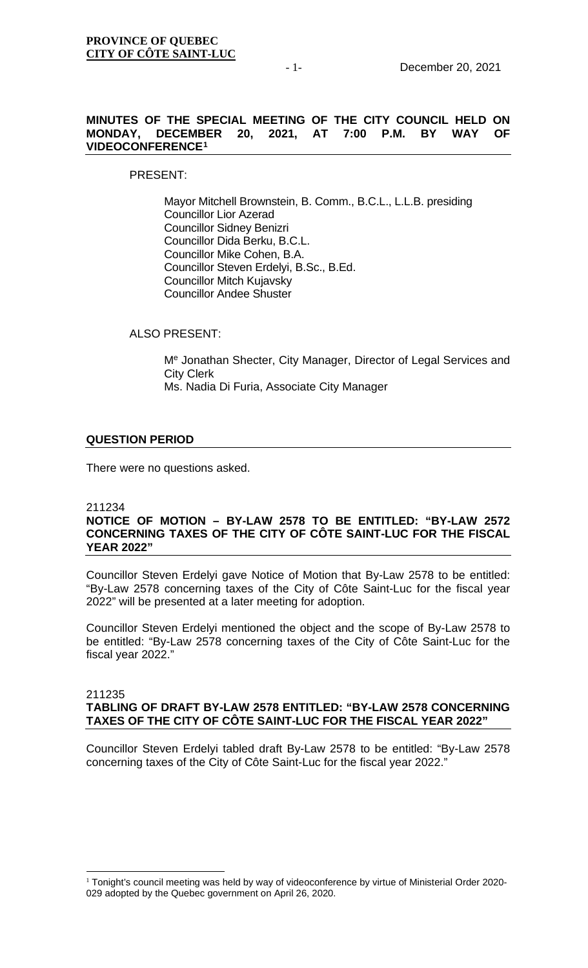## **MINUTES OF THE SPECIAL MEETING OF THE CITY COUNCIL HELD ON MONDAY, DECEMBER 20, 2021, AT VIDEOCONFERENCE[1](#page-0-0)**

## PRESENT:

Mayor Mitchell Brownstein, B. Comm., B.C.L., L.L.B. presiding Councillor Lior Azerad Councillor Sidney Benizri Councillor Dida Berku, B.C.L. Councillor Mike Cohen, B.A. Councillor Steven Erdelyi, B.Sc., B.Ed. Councillor Mitch Kujavsky Councillor Andee Shuster

ALSO PRESENT:

Me Jonathan Shecter, City Manager, Director of Legal Services and City Clerk Ms. Nadia Di Furia, Associate City Manager

# **QUESTION PERIOD**

There were no questions asked.

## 211234 **NOTICE OF MOTION – BY-LAW 2578 TO BE ENTITLED: "BY-LAW 2572 CONCERNING TAXES OF THE CITY OF CÔTE SAINT-LUC FOR THE FISCAL YEAR 2022"**

Councillor Steven Erdelyi gave Notice of Motion that By-Law 2578 to be entitled: "By-Law 2578 concerning taxes of the City of Côte Saint-Luc for the fiscal year 2022" will be presented at a later meeting for adoption.

Councillor Steven Erdelyi mentioned the object and the scope of By-Law 2578 to be entitled: "By-Law 2578 concerning taxes of the City of Côte Saint-Luc for the fiscal year 2022."

#### 211235 **TABLING OF DRAFT BY-LAW 2578 ENTITLED: "BY-LAW 2578 CONCERNING TAXES OF THE CITY OF CÔTE SAINT-LUC FOR THE FISCAL YEAR 2022"**

Councillor Steven Erdelyi tabled draft By-Law 2578 to be entitled: "By-Law 2578 concerning taxes of the City of Côte Saint-Luc for the fiscal year 2022."

<span id="page-0-0"></span><sup>&</sup>lt;sup>1</sup> Tonight's council meeting was held by way of videoconference by virtue of Ministerial Order 2020-029 adopted by the Quebec government on April 26, 2020.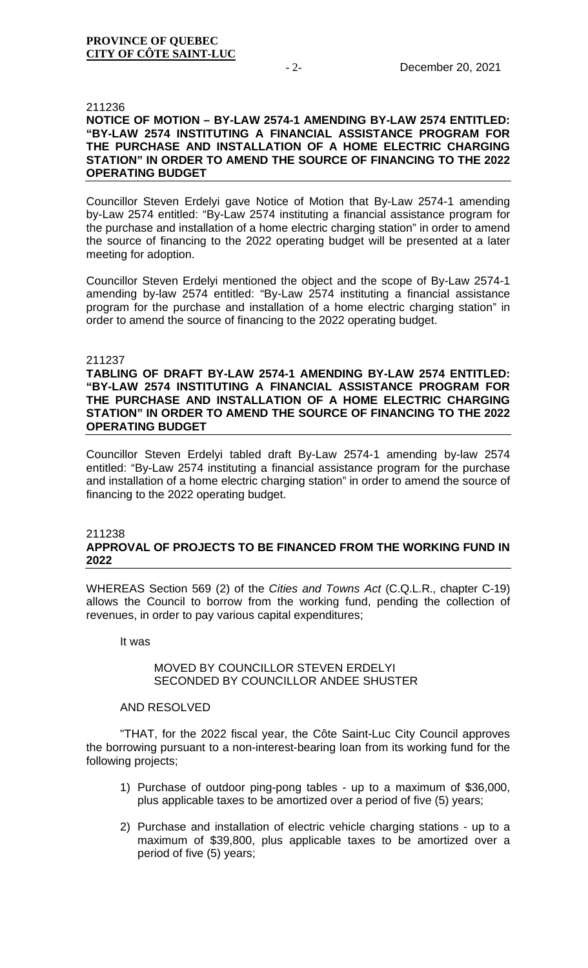#### 211236

## **NOTICE OF MOTION – BY-LAW 2574-1 AMENDING BY-LAW 2574 ENTITLED: "BY-LAW 2574 INSTITUTING A FINANCIAL ASSISTANCE PROGRAM FOR THE PURCHASE AND INSTALLATION OF A HOME ELECTRIC CHARGING STATION" IN ORDER TO AMEND THE SOURCE OF FINANCING TO THE 2022 OPERATING BUDGET**

Councillor Steven Erdelyi gave Notice of Motion that By-Law 2574-1 amending by-Law 2574 entitled: "By-Law 2574 instituting a financial assistance program for the purchase and installation of a home electric charging station" in order to amend the source of financing to the 2022 operating budget will be presented at a later meeting for adoption.

Councillor Steven Erdelyi mentioned the object and the scope of By-Law 2574-1 amending by-law 2574 entitled: "By-Law 2574 instituting a financial assistance program for the purchase and installation of a home electric charging station" in order to amend the source of financing to the 2022 operating budget.

#### 211237

### **TABLING OF DRAFT BY-LAW 2574-1 AMENDING BY-LAW 2574 ENTITLED: "BY-LAW 2574 INSTITUTING A FINANCIAL ASSISTANCE PROGRAM FOR THE PURCHASE AND INSTALLATION OF A HOME ELECTRIC CHARGING STATION" IN ORDER TO AMEND THE SOURCE OF FINANCING TO THE 2022 OPERATING BUDGET**

Councillor Steven Erdelyi tabled draft By-Law 2574-1 amending by-law 2574 entitled: "By-Law 2574 instituting a financial assistance program for the purchase and installation of a home electric charging station" in order to amend the source of financing to the 2022 operating budget.

#### 211238 **APPROVAL OF PROJECTS TO BE FINANCED FROM THE WORKING FUND IN 2022**

WHEREAS Section 569 (2) of the *Cities and Towns Act* (C.Q.L.R., chapter C-19) allows the Council to borrow from the working fund, pending the collection of revenues, in order to pay various capital expenditures;

It was

### MOVED BY COUNCILLOR STEVEN ERDELYI SECONDED BY COUNCILLOR ANDEE SHUSTER

### AND RESOLVED

"THAT, for the 2022 fiscal year, the Côte Saint-Luc City Council approves the borrowing pursuant to a non-interest-bearing loan from its working fund for the following projects;

- 1) Purchase of outdoor ping-pong tables up to a maximum of \$36,000, plus applicable taxes to be amortized over a period of five (5) years;
- 2) Purchase and installation of electric vehicle charging stations up to a maximum of \$39,800, plus applicable taxes to be amortized over a period of five (5) years;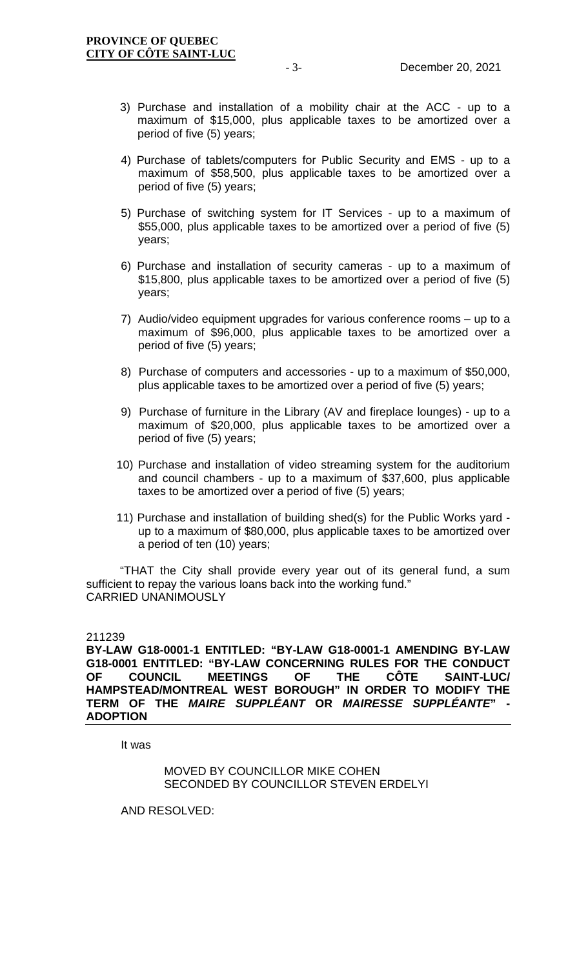- 3) Purchase and installation of a mobility chair at the ACC up to a maximum of \$15,000, plus applicable taxes to be amortized over a period of five (5) years;
- 4) Purchase of tablets/computers for Public Security and EMS up to a maximum of \$58,500, plus applicable taxes to be amortized over a period of five (5) years;
- 5) Purchase of switching system for IT Services up to a maximum of \$55,000, plus applicable taxes to be amortized over a period of five (5) years;
- 6) Purchase and installation of security cameras up to a maximum of \$15,800, plus applicable taxes to be amortized over a period of five (5) years;
- 7) Audio/video equipment upgrades for various conference rooms up to a maximum of \$96,000, plus applicable taxes to be amortized over a period of five (5) years;
- 8) Purchase of computers and accessories up to a maximum of \$50,000, plus applicable taxes to be amortized over a period of five (5) years;
- 9) Purchase of furniture in the Library (AV and fireplace lounges) up to a maximum of \$20,000, plus applicable taxes to be amortized over a period of five (5) years;
- 10) Purchase and installation of video streaming system for the auditorium and council chambers - up to a maximum of \$37,600, plus applicable taxes to be amortized over a period of five (5) years;
- 11) Purchase and installation of building shed(s) for the Public Works yard up to a maximum of \$80,000, plus applicable taxes to be amortized over a period of ten (10) years;

"THAT the City shall provide every year out of its general fund, a sum sufficient to repay the various loans back into the working fund." CARRIED UNANIMOUSLY

211239

**BY-LAW G18-0001-1 ENTITLED: "BY-LAW G18-0001-1 AMENDING BY-LAW G18-0001 ENTITLED: "BY-LAW CONCERNING RULES FOR THE CONDUCT OF COUNCIL MEETINGS OF THE CÔTE SAINT-LUC/ HAMPSTEAD/MONTREAL WEST BOROUGH" IN ORDER TO MODIFY THE TERM OF THE** *MAIRE SUPPLÉANT* **OR** *MAIRESSE SUPPLÉANTE***" - ADOPTION**

It was

MOVED BY COUNCILLOR MIKE COHEN SECONDED BY COUNCILLOR STEVEN ERDELYI

AND RESOLVED: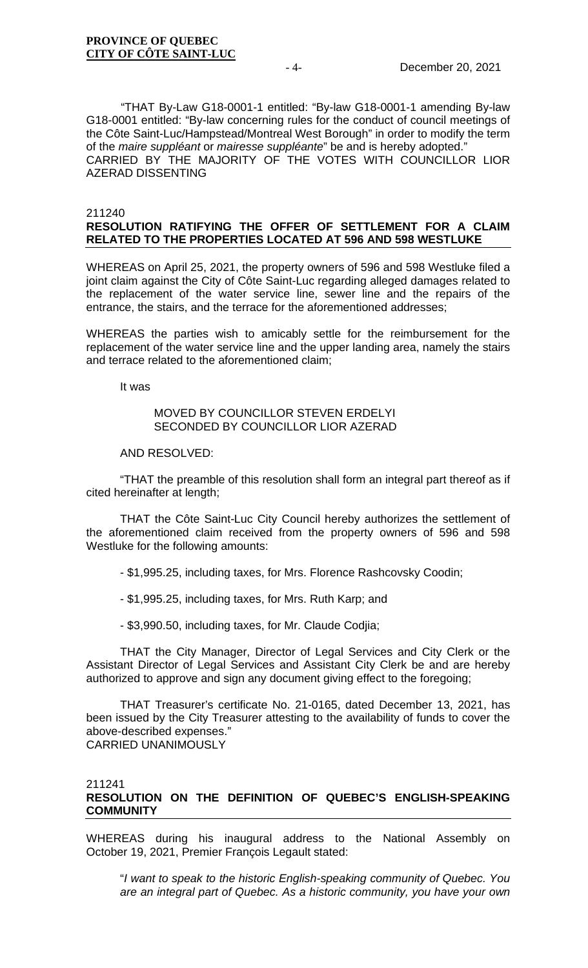"THAT By-Law G18-0001-1 entitled: "By-law G18-0001-1 amending By-law G18-0001 entitled: "By-law concerning rules for the conduct of council meetings of the Côte Saint-Luc/Hampstead/Montreal West Borough" in order to modify the term of the *maire suppléant* or *mairesse suppléante*" be and is hereby adopted." CARRIED BY THE MAJORITY OF THE VOTES WITH COUNCILLOR LIOR AZERAD DISSENTING

#### 211240 **RESOLUTION RATIFYING THE OFFER OF SETTLEMENT FOR A CLAIM RELATED TO THE PROPERTIES LOCATED AT 596 AND 598 WESTLUKE**

WHEREAS on April 25, 2021, the property owners of 596 and 598 Westluke filed a joint claim against the City of Côte Saint-Luc regarding alleged damages related to the replacement of the water service line, sewer line and the repairs of the entrance, the stairs, and the terrace for the aforementioned addresses;

WHEREAS the parties wish to amicably settle for the reimbursement for the replacement of the water service line and the upper landing area, namely the stairs and terrace related to the aforementioned claim;

It was

### MOVED BY COUNCILLOR STEVEN ERDELYI SECONDED BY COUNCILLOR LIOR AZERAD

AND RESOLVED:

"THAT the preamble of this resolution shall form an integral part thereof as if cited hereinafter at length;

THAT the Côte Saint-Luc City Council hereby authorizes the settlement of the aforementioned claim received from the property owners of 596 and 598 Westluke for the following amounts:

- \$1,995.25, including taxes, for Mrs. Florence Rashcovsky Coodin;

- \$1,995.25, including taxes, for Mrs. Ruth Karp; and

- \$3,990.50, including taxes, for Mr. Claude Codjia;

THAT the City Manager, Director of Legal Services and City Clerk or the Assistant Director of Legal Services and Assistant City Clerk be and are hereby authorized to approve and sign any document giving effect to the foregoing;

THAT Treasurer's certificate No. 21-0165, dated December 13, 2021, has been issued by the City Treasurer attesting to the availability of funds to cover the above-described expenses." CARRIED UNANIMOUSLY

211241

# **RESOLUTION ON THE DEFINITION OF QUEBEC'S ENGLISH-SPEAKING COMMUNITY**

WHEREAS during his inaugural address to the National Assembly on October 19, 2021, Premier François Legault stated:

"*I want to speak to the historic English-speaking community of Quebec. You are an integral part of Quebec. As a historic community, you have your own*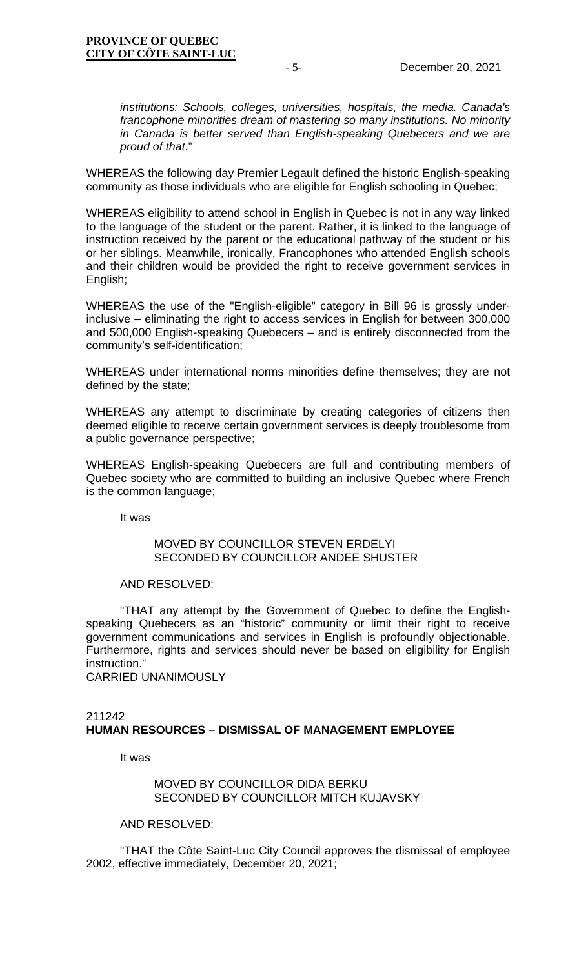*institutions: Schools, colleges, universities, hospitals, the media. Canada's francophone minorities dream of mastering so many institutions. No minority in Canada is better served than English-speaking Quebecers and we are proud of that*."

WHEREAS the following day Premier Legault defined the historic English-speaking community as those individuals who are eligible for English schooling in Quebec;

WHEREAS eligibility to attend school in English in Quebec is not in any way linked to the language of the student or the parent. Rather, it is linked to the language of instruction received by the parent or the educational pathway of the student or his or her siblings. Meanwhile, ironically, Francophones who attended English schools and their children would be provided the right to receive government services in English;

WHEREAS the use of the "English-eligible" category in Bill 96 is grossly underinclusive – eliminating the right to access services in English for between 300,000 and 500,000 English-speaking Quebecers – and is entirely disconnected from the community's self-identification;

WHEREAS under international norms minorities define themselves; they are not defined by the state;

WHEREAS any attempt to discriminate by creating categories of citizens then deemed eligible to receive certain government services is deeply troublesome from a public governance perspective;

WHEREAS English-speaking Quebecers are full and contributing members of Quebec society who are committed to building an inclusive Quebec where French is the common language;

It was

### MOVED BY COUNCILLOR STEVEN ERDELYI SECONDED BY COUNCILLOR ANDEE SHUSTER

### AND RESOLVED:

"THAT any attempt by the Government of Quebec to define the Englishspeaking Quebecers as an "historic" community or limit their right to receive government communications and services in English is profoundly objectionable. Furthermore, rights and services should never be based on eligibility for English instruction."

CARRIED UNANIMOUSLY

### 211242 **HUMAN RESOURCES – DISMISSAL OF MANAGEMENT EMPLOYEE**

It was

### MOVED BY COUNCILLOR DIDA BERKU SECONDED BY COUNCILLOR MITCH KUJAVSKY

AND RESOLVED:

"THAT the Côte Saint-Luc City Council approves the dismissal of employee 2002, effective immediately, December 20, 2021;